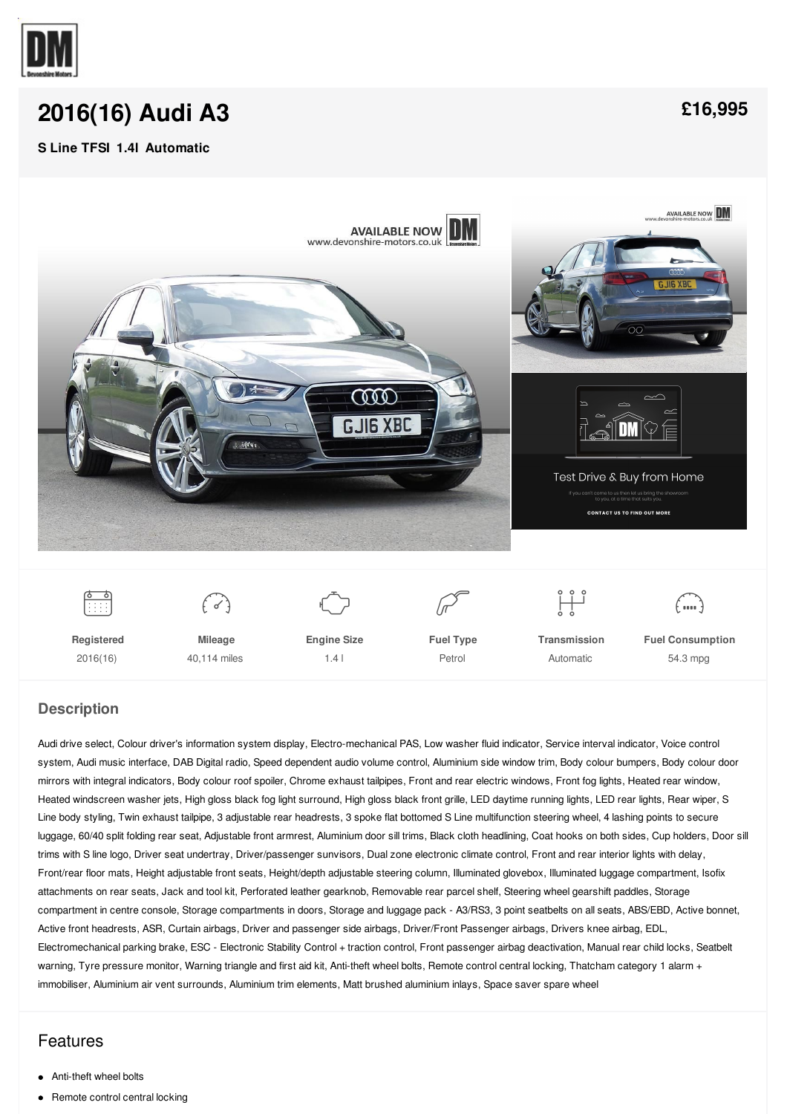

# **[2016\(16\)](/stock/pdf/) Audi A3**

#### **S Line TFSI 1.4l Automatic**





### **Description**

Audi drive select, Colour driver's information system display, Electro-mechanical PAS, Low washer fluid indicator, Service interval indicator, Voice control system, Audi music interface, DAB Digital radio, Speed dependent audio volume control, Aluminium side window trim, Body colour bumpers, Body colour door mirrors with integral indicators, Body colour roof spoiler, Chrome exhaust tailpipes, Front and rear electric windows, Front fog lights, Heated rear window, Heated windscreen washer jets, High gloss black fog light surround, High gloss black front grille, LED daytime running lights, LED rear lights, Rear wiper, S Line body styling, Twin exhaust tailpipe, 3 adjustable rear headrests, 3 spoke flat bottomed S Line multifunction steering wheel, 4 lashing points to secure luggage, 60/40 split folding rear seat, Adjustable front armrest, Aluminium door sill trims, Black cloth headlining, Coat hooks on both sides, Cup holders, Door sill trims with S line logo, Driver seat undertray, Driver/passenger sunvisors, Dual zone electronic climate control, Front and rear interior lights with delay, Front/rear floor mats, Height adjustable front seats, Height/depth adjustable steering column, Illuminated glovebox, Illuminated luggage compartment, Isofix attachments on rear seats, Jack and tool kit, Perforated leather gearknob, Removable rear parcel shelf, Steering wheel gearshift paddles, Storage compartment in centre console, Storage compartments in doors, Storage and luggage pack - A3/RS3, 3 point seatbelts on all seats, ABS/EBD, Active bonnet, Active front headrests, ASR, Curtain airbags, Driver and passenger side airbags, Driver/Front Passenger airbags, Drivers knee airbag, EDL, Electromechanical parking brake, ESC - Electronic Stability Control + traction control, Front passenger airbag deactivation, Manual rear child locks, Seatbelt warning, Tyre pressure monitor, Warning triangle and first aid kit, Anti-theft wheel bolts, Remote control central locking, Thatcham category 1 alarm + immobiliser, Aluminium air vent surrounds, Aluminium trim elements, Matt brushed aluminium inlays, Space saver spare wheel

## Features

- Anti-theft wheel bolts
- $\bullet$ Remote control central locking

**[£16,995](/stock/pdf/)**